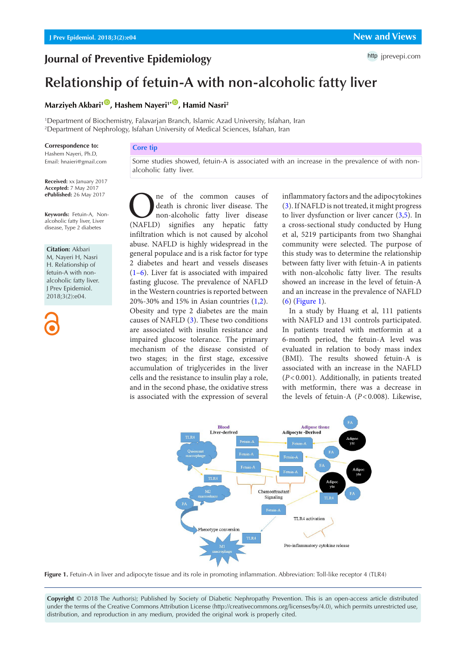## **Journal of Preventive Epidemiology**

# **Relationship of fetuin-A with non-alcoholic fatty liver**

### **Marziyeh Akbari<sup>1</sup><sup>10</sup>, Hashem Nayeri<sup>1\*</sup><sup>10</sup>, Hamid Nasri<sup>2</sup>**

1 [Department of Biochemistry, Falavarjan Branch, Islamic Azad University, Isfahan, Iran](http://orcid.org/0000-0002-4334-9064) 2 Department of Nephrology, Isfahan University of Medical Sciences, Isfahan, Iran

#### **Correspondence to:**

Hashem Nayeri, Ph.D, Email: hnaieri@gmail.com

**Received:** xx January 2017 **Accepted:** 7 May 2017 **ePublished:** 26 May 2017

**Keywords:** Fetuin-A, Nonalcoholic fatty liver, Liver disease, Type 2 diabetes

**Citation:** Akbari M, Nayeri H, Nasri H. Relationship of fetuin-A with nonalcoholic fatty liver. J Prev Epidemiol. 2018;3(2):e04.

#### **Core tip**

Some studies showed, fetuin-A is associated with an increase in the prevalence of with nonalcoholic fatty liver.

**O**ne of the common causes of death is chronic liver disease. The non-alcoholic fatty liver disease (NAFLD) signifies any hepatic fatty death is chronic liver disease. The non-alcoholic fatty liver disease infiltration which is not caused by alcohol abuse. NAFLD is highly widespread in the general populace and is a risk factor for type 2 diabetes and heart and vessels diseases [\(1](#page-1-0)[–6](#page-1-1)). Liver fat is associated with impaired fasting glucose. The prevalence of NAFLD in the Western countries is reported between 20%-30% and 15% in Asian countries ([1](#page-1-0),[2\)](#page-1-0). Obesity and type 2 diabetes are the main causes of NAFLD ([3](#page-1-2)). These two conditions are associated with insulin resistance and impaired glucose tolerance. The primary mechanism of the disease consisted of two stages; in the first stage, excessive accumulation of triglycerides in the liver cells and the resistance to insulin play a role, and in the second phase, the oxidative stress is associated with the expression of several

inflammatory factors and the adipocytokines [\(3\)](#page-1-2). If NAFLD is not treated, it might progress to liver dysfunction or liver cancer [\(3](#page-1-2)[,5\)](#page-1-3). In a cross-sectional study conducted by Hung et al, 5219 participants from two Shanghai community were selected. The purpose of this study was to determine the relationship between fatty liver with fetuin-A in patients with non-alcoholic fatty liver. The results showed an increase in the level of fetuin-A and an increase in the prevalence of NAFLD [\(6\)](#page-1-1) [\(Figure 1](#page-0-0)).

In a study by Huang et al, 111 patients with NAFLD and 131 controls participated. In patients treated with metformin at a 6-month period, the fetuin-A level was evaluated in relation to body mass index (BMI). The results showed fetuin-A is associated with an increase in the NAFLD (*P*<0.001). Additionally, in patients treated with metformin, there was a decrease in the levels of fetuin-A (*P*<0.008). Likewise,

<span id="page-0-0"></span>

**Figure 1.** Fetuin-A in liver and adipocyte tissue and its role in promoting inflammation. Abbreviation: Toll-like receptor 4 (TLR4)

**Copyright** © 2018 The Author(s); Published by Society of Diabetic Nephropathy Prevention. This is an open-access article distributed under the terms of the Creative Commons Attribution License (http://creativecommons.org/licenses/by/4.0), which permits unrestricted use, distribution, and reproduction in any medium, provided the original work is properly cited.